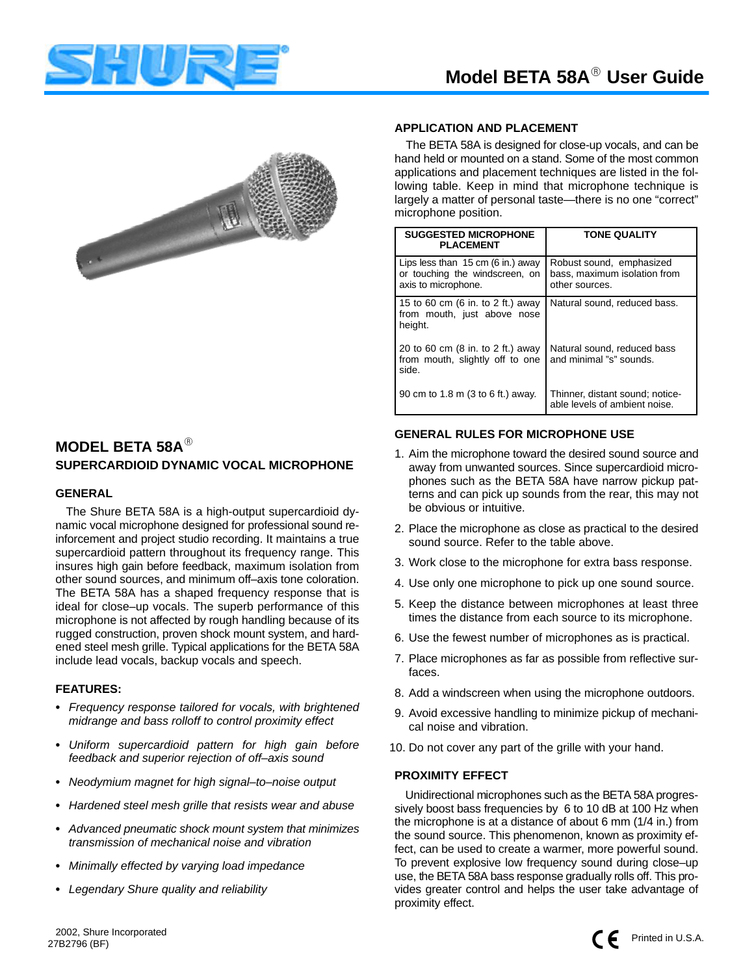



## **MODEL BETA 58A SUPERCARDIOID DYNAMIC VOCAL MICROPHONE**

#### **GENERAL**

The Shure BETA 58A is a high-output supercardioid dynamic vocal microphone designed for professional sound reinforcement and project studio recording. It maintains a true supercardioid pattern throughout its frequency range. This insures high gain before feedback, maximum isolation from other sound sources, and minimum off–axis tone coloration. The BETA 58A has a shaped frequency response that is ideal for close–up vocals. The superb performance of this microphone is not affected by rough handling because of its rugged construction, proven shock mount system, and hardened steel mesh grille. Typical applications for the BETA 58A include lead vocals, backup vocals and speech.

#### **FEATURES:**

- Frequency response tailored for vocals, with brightened midrange and bass rolloff to control proximity effect
- Uniform supercardioid pattern for high gain before feedback and superior rejection of off–axis sound
- Neodymium magnet for high signal–to–noise output
- Hardened steel mesh grille that resists wear and abuse
- Advanced pneumatic shock mount system that minimizes transmission of mechanical noise and vibration
- Minimally effected by varying load impedance
- -Legendary Shure quality and reliability

#### **APPLICATION AND PLACEMENT**

The BETA 58A is designed for close-up vocals, and can be hand held or mounted on a stand. Some of the most common applications and placement techniques are listed in the following table. Keep in mind that microphone technique is largely a matter of personal taste—there is no one "correct" microphone position.

| <b>SUGGESTED MICROPHONE</b><br><b>PLACEMENT</b>                                                      | <b>TONE QUALITY</b>                                                        |
|------------------------------------------------------------------------------------------------------|----------------------------------------------------------------------------|
| Lips less than $15 \text{ cm}$ (6 in.) away<br>or touching the windscreen, on<br>axis to microphone. | Robust sound, emphasized<br>bass, maximum isolation from<br>other sources. |
| 15 to 60 cm (6 in. to 2 ft.) away<br>from mouth, just above nose<br>height.                          | Natural sound, reduced bass.                                               |
| 20 to 60 cm (8 in. to 2 ft.) away<br>from mouth, slightly off to one<br>side.                        | Natural sound, reduced bass<br>and minimal "s" sounds.                     |
| 90 cm to 1.8 m (3 to 6 ft.) away.                                                                    | Thinner, distant sound; notice-<br>able levels of ambient noise.           |

#### **GENERAL RULES FOR MICROPHONE USE**

- 1. Aim the microphone toward the desired sound source and away from unwanted sources. Since supercardioid microphones such as the BETA 58A have narrow pickup patterns and can pick up sounds from the rear, this may not be obvious or intuitive.
- 2. Place the microphone as close as practical to the desired sound source. Refer to the table above.
- 3. Work close to the microphone for extra bass response.
- 4. Use only one microphone to pick up one sound source.
- 5. Keep the distance between microphones at least three times the distance from each source to its microphone.
- 6. Use the fewest number of microphones as is practical.
- 7. Place microphones as far as possible from reflective surfaces.
- 8. Add a windscreen when using the microphone outdoors.
- 9. Avoid excessive handling to minimize pickup of mechanical noise and vibration.
- 10. Do not cover any part of the grille with your hand.

#### **PROXIMITY EFFECT**

Unidirectional microphones such as the BETA 58A progressively boost bass frequencies by 6 to 10 dB at 100 Hz when the microphone is at a distance of about 6 mm (1/4 in.) from the sound source. This phenomenon, known as proximity effect, can be used to create a warmer, more powerful sound. To prevent explosive low frequency sound during close–up use, the BETA 58A bass response gradually rolls off. This provides greater control and helps the user take advantage of proximity effect.



27B2796 (BF) ©2002, Shure Incorporated **Printed in U.S.A.**<br>27B2796 (PF)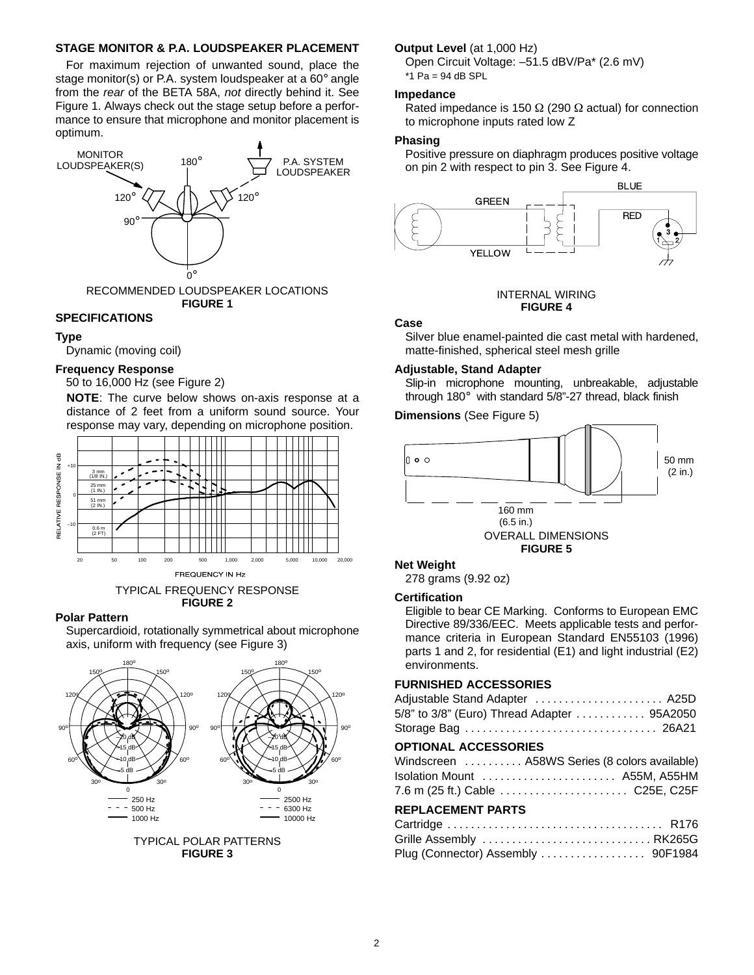#### **STAGE MONITOR & P.A. LOUDSPEAKER PLACEMENT**

For maximum rejection of unwanted sound, place the stage monitor(s) or P.A. system loudspeaker at a 60° angle from the rear of the BETA 58A, not directly behind it. See Figure 1. Always check out the stage setup before a performance to ensure that microphone and monitor placement is optimum.



**FIGURE 1**

#### **SPECIFICATIONS**

#### **Type**

Dynamic (moving coil)

#### **Frequency Response**

50 to 16,000 Hz (see Figure 2)

**NOTE**: The curve below shows on-axis response at a distance of 2 feet from a uniform sound source. Your response may vary, depending on microphone position.



TYPICAL FREQUENCY RESPONSE **FIGURE 2**

#### **Polar Pattern**

Supercardioid, rotationally symmetrical about microphone axis, uniform with frequency (see Figure 3)





#### **Output Level** (at 1,000 Hz)

Open Circuit Voltage: –51.5 dBV/Pa\* (2.6 mV)  $*1$  Pa = 94 dB SPL

#### **Impedance**

Rated impedance is 150  $\Omega$  (290  $\Omega$  actual) for connection to microphone inputs rated low Z

#### **Phasing**

Positive pressure on diaphragm produces positive voltage on pin 2 with respect to pin 3. See Figure 4.



#### INTERNAL WIRING **FIGURE 4**

#### **Case**

Silver blue enamel-painted die cast metal with hardened, matte-finished, spherical steel mesh grille

#### **Adjustable, Stand Adapter**

Slip-in microphone mounting, unbreakable, adjustable through 180° with standard 5/8"-27 thread, black finish

#### **Dimensions** (See Figure 5)



278 grams (9.92 oz)

#### **Certification**

Eligible to bear CE Marking. Conforms to European EMC Directive 89/336/EEC. Meets applicable tests and performance criteria in European Standard EN55103 (1996) parts 1 and 2, for residential (E1) and light industrial (E2) environments.

#### **FURNISHED ACCESSORIES**

| OPTIONAL ACCESSORIES                       |  |
|--------------------------------------------|--|
|                                            |  |
| 5/8" to 3/8" (Euro) Thread Adapter 95A2050 |  |
| Adjustable Stand Adapter  A25D             |  |

#### **OPTIONAL ACCESSORIES**

| Windscreen  A58WS Series (8 colors available) |
|-----------------------------------------------|
|                                               |
|                                               |

#### **REPLACEMENT PARTS**

| Grille Assembly RK265G             |  |
|------------------------------------|--|
| Plug (Connector) Assembly  90F1984 |  |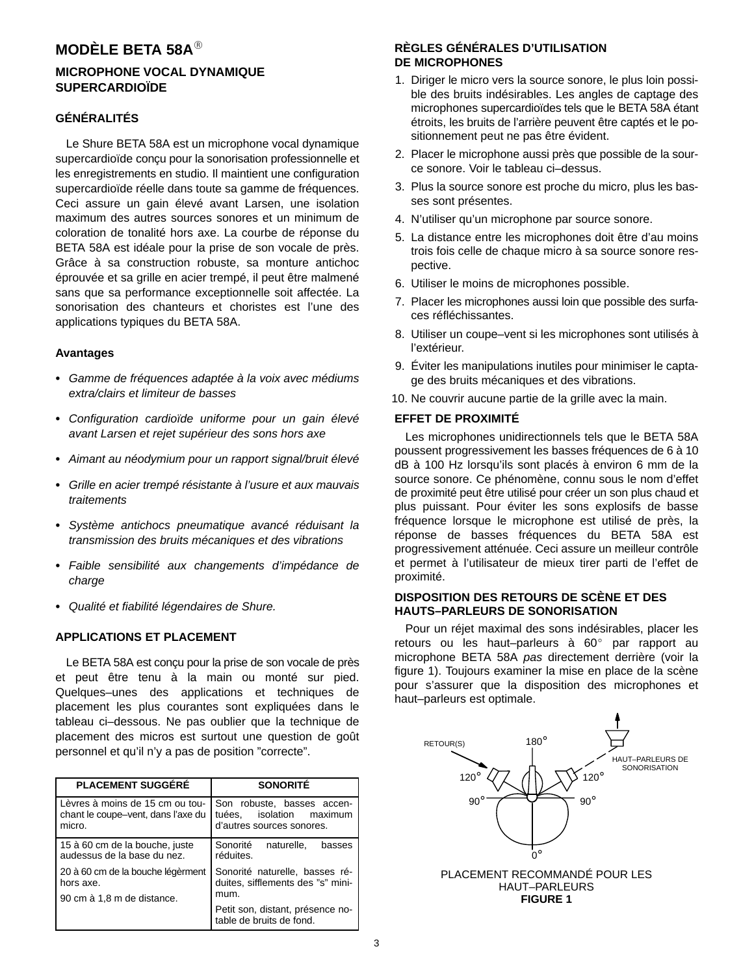## **MODÈLE BETA 58A**

### **MICROPHONE VOCAL DYNAMIQUE SUPERCARDIOÏDE**

### **GÉNÉRALITÉS**

Le Shure BETA 58A est un microphone vocal dynamique supercardioïde conçu pour la sonorisation professionnelle et les enregistrements en studio. Il maintient une configuration supercardioïde réelle dans toute sa gamme de fréquences. Ceci assure un gain élevé avant Larsen, une isolation maximum des autres sources sonores et un minimum de coloration de tonalité hors axe. La courbe de réponse du BETA 58A est idéale pour la prise de son vocale de près. Grâce à sa construction robuste, sa monture antichoc éprouvée et sa grille en acier trempé, il peut être malmené sans que sa performance exceptionnelle soit affectée. La sonorisation des chanteurs et choristes est l'une des applications typiques du BETA 58A.

#### **Avantages**

- Gamme de fréquences adaptée à la voix avec médiums extra/clairs et limiteur de basses
- Configuration cardioïde uniforme pour un gain élevé avant Larsen et rejet supérieur des sons hors axe
- Aimant au néodymium pour un rapport signal/bruit élevé
- Grille en acier trempé résistante à l'usure et aux mauvais traitements
- Système antichocs pneumatique avancé réduisant la transmission des bruits mécaniques et des vibrations
- Faible sensibilité aux changements d'impédance de charge
- Qualité et fiabilité légendaires de Shure.

#### **APPLICATIONS ET PLACEMENT**

Le BETA 58A est conçu pour la prise de son vocale de près et peut être tenu à la main ou monté sur pied. Quelques–unes des applications et techniques de placement les plus courantes sont expliquées dans le tableau ci–dessous. Ne pas oublier que la technique de placement des micros est surtout une question de goût personnel et qu'il n'y a pas de position "correcte".

| <b>PLACEMENT SUGGÉRÉ</b>                                                        | <b>SONORITÉ</b>                                                                     |  |
|---------------------------------------------------------------------------------|-------------------------------------------------------------------------------------|--|
| Lèvres à moins de 15 cm ou tou-<br>chant le coupe-vent, dans l'axe du<br>micro. | Son robuste, basses accen-<br>tuées. isolation maximum<br>d'autres sources sonores. |  |
| 15 à 60 cm de la bouche, juste<br>audessus de la base du nez.                   | Sonorité<br>naturelle.<br>basses<br>réduites.                                       |  |
| 20 à 60 cm de la bouche légèrment<br>hors axe.<br>90 cm à 1,8 m de distance.    | Sonorité naturelle, basses ré-<br>duites, sifflements des "s" mini-<br>mum.         |  |
|                                                                                 | Petit son, distant, présence no-<br>table de bruits de fond.                        |  |

#### **RÈGLES GÉNÉRALES D'UTILISATION DE MICROPHONES**

- 1. Diriger le micro vers la source sonore, le plus loin possible des bruits indésirables. Les angles de captage des microphones supercardioïdes tels que le BETA 58A étant étroits, les bruits de l'arrière peuvent être captés et le positionnement peut ne pas être évident.
- 2. Placer le microphone aussi près que possible de la source sonore. Voir le tableau ci–dessus.
- 3. Plus la source sonore est proche du micro, plus les basses sont présentes.
- 4. N'utiliser qu'un microphone par source sonore.
- 5. La distance entre les microphones doit être d'au moins trois fois celle de chaque micro à sa source sonore respective.
- 6. Utiliser le moins de microphones possible.
- 7. Placer les microphones aussi loin que possible des surfaces réfléchissantes.
- 8. Utiliser un coupe–vent si les microphones sont utilisés à l'extérieur.
- 9. Éviter les manipulations inutiles pour minimiser le captage des bruits mécaniques et des vibrations.
- 10. Ne couvrir aucune partie de la grille avec la main.

#### **EFFET DE PROXIMITÉ**

Les microphones unidirectionnels tels que le BETA 58A poussent progressivement les basses fréquences de 6 à 10 dB à 100 Hz lorsqu'ils sont placés à environ 6 mm de la source sonore. Ce phénomène, connu sous le nom d'effet de proximité peut être utilisé pour créer un son plus chaud et plus puissant. Pour éviter les sons explosifs de basse fréquence lorsque le microphone est utilisé de près, la réponse de basses fréquences du BETA 58A est progressivement atténuée. Ceci assure un meilleur contrôle et permet à l'utilisateur de mieux tirer parti de l'effet de proximité.

#### **DISPOSITION DES RETOURS DE SCÈNE ET DES HAUTS–PARLEURS DE SONORISATION**

Pour un réjet maximal des sons indésirables, placer les retours ou les haut-parleurs à 60° par rapport au microphone BETA 58A pas directement derrière (voir la figure 1). Toujours examiner la mise en place de la scène pour s'assurer que la disposition des microphones et haut–parleurs est optimale.

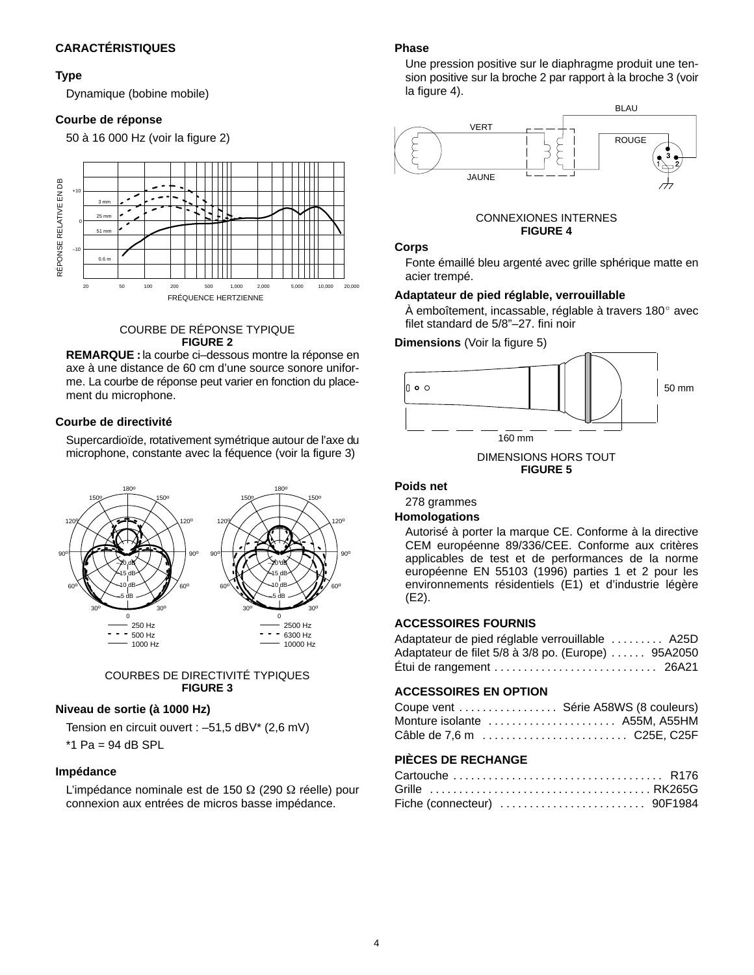#### **Type**

Dynamique (bobine mobile)

#### **Courbe de réponse**

50 à 16 000 Hz (voir la figure 2)



COURBE DE RÉPONSE TYPIQUE **FIGURE 2**

**REMARQUE :** la courbe ci–dessous montre la réponse en axe à une distance de 60 cm d'une source sonore uniforme. La courbe de réponse peut varier en fonction du placement du microphone.

#### **Courbe de directivité**

Supercardioïde, rotativement symétrique autour de l'axe du microphone, constante avec la féquence (voir la figure 3)



#### COURBES DE DIRECTIVITÉ TYPIQUES **FIGURE 3**

#### **Niveau de sortie (à 1000 Hz)**

Tension en circuit ouvert : –51,5 dBV\* (2,6 mV)

 $*1$  Pa = 94 dB SPL

#### **Impédance**

L'impédance nominale est de 150  $\Omega$  (290  $\Omega$  réelle) pour connexion aux entrées de micros basse impédance.

#### **Phase**

Une pression positive sur le diaphragme produit une tension positive sur la broche 2 par rapport à la broche 3 (voir la figure 4).



# CONNEXIONES INTERNES

acier trempé.

#### **Adaptateur de pied réglable, verrouillable**

 $\AA$  emboîtement, incassable, réglable à travers 180 $^{\circ}$  avec filet standard de 5/8"–27. fini noir

**Dimensions** (Voir la figure 5)



DIMENSIONS HORS TOUT **FIGURE 5**

#### **Poids net**

278 grammes

#### **Homologations**

Autorisé à porter la marque CE. Conforme à la directive CEM européenne 89/336/CEE. Conforme aux critères applicables de test et de performances de la norme européenne EN 55103 (1996) parties 1 et 2 pour les environnements résidentiels (E1) et d'industrie légère (E2).

#### **ACCESSOIRES FOURNIS**

| Adaptateur de pied réglable verrouillable  A25D                    |  |
|--------------------------------------------------------------------|--|
| Adaptateur de filet 5/8 à 3/8 po. (Europe)  95A2050                |  |
| Étui de rangement $\dots\dots\dots\dots\dots\dots\dots\dots$ 26A21 |  |

#### **ACCESSOIRES EN OPTION**

| Coupe vent  Série A58WS (8 couleurs) |  |
|--------------------------------------|--|
| Monture isolante  A55M, A55HM        |  |
| Câble de 7,6 m  C25E, C25F           |  |

### **PIÈCES DE RECHANGE**

| Fiche (connecteur)  90F1984 |  |
|-----------------------------|--|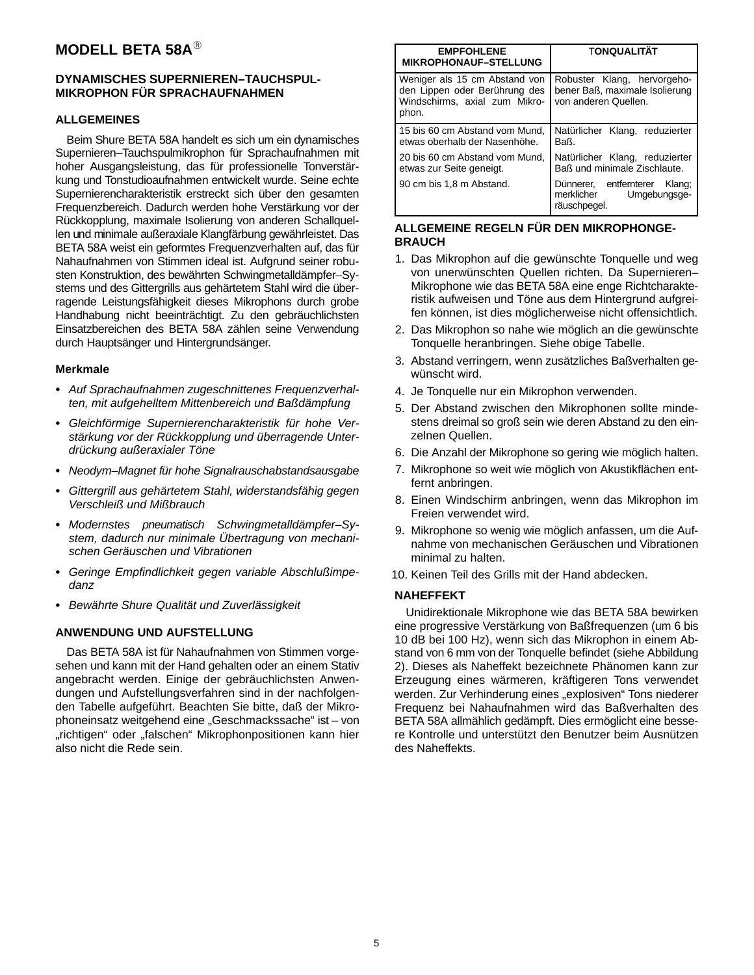## **MODELL BETA 58A**

#### **DYNAMISCHES SUPERNIEREN–TAUCHSPUL-MIKROPHON FÜR SPRACHAUFNAHMEN**

#### **ALLGEMEINES**

Beim Shure BETA 58A handelt es sich um ein dynamisches Supernieren–Tauchspulmikrophon für Sprachaufnahmen mit hoher Ausgangsleistung, das für professionelle Tonverstärkung und Tonstudioaufnahmen entwickelt wurde. Seine echte Supernierencharakteristik erstreckt sich über den gesamten Frequenzbereich. Dadurch werden hohe Verstärkung vor der Rückkopplung, maximale Isolierung von anderen Schallquellen und minimale außeraxiale Klangfärbung gewährleistet. Das BETA 58A weist ein geformtes Frequenzverhalten auf, das für Nahaufnahmen von Stimmen ideal ist. Aufgrund seiner robusten Konstruktion, des bewährten Schwingmetalldämpfer–Systems und des Gittergrills aus gehärtetem Stahl wird die überragende Leistungsfähigkeit dieses Mikrophons durch grobe Handhabung nicht beeinträchtigt. Zu den gebräuchlichsten Einsatzbereichen des BETA 58A zählen seine Verwendung durch Hauptsänger und Hintergrundsänger.

#### **Merkmale**

- Auf Sprachaufnahmen zugeschnittenes Frequenzverhalten, mit aufgehelltem Mittenbereich und Baßdämpfung
- Gleichförmige Supernierencharakteristik für hohe Verstärkung vor der Rückkopplung und überragende Unterdrückung außeraxialer Töne
- Neodym–Magnet für hohe Signalrauschabstandsausgabe
- - Gittergrill aus gehärtetem Stahl, widerstandsfähig gegen Verschleiß und Mißbrauch
- Modernstes pneumatisch Schwingmetalldämpfer–System, dadurch nur minimale Übertragung von mechanischen Geräuschen und Vibrationen
- - Geringe Empfindlichkeit gegen variable Abschlußimpedanz
- Bewährte Shure Qualität und Zuverlässigkeit

#### **ANWENDUNG UND AUFSTELLUNG**

Das BETA 58A ist für Nahaufnahmen von Stimmen vorgesehen und kann mit der Hand gehalten oder an einem Stativ angebracht werden. Einige der gebräuchlichsten Anwendungen und Aufstellungsverfahren sind in der nachfolgenden Tabelle aufgeführt. Beachten Sie bitte, daß der Mikrophoneinsatz weitgehend eine "Geschmackssache" ist – von "richtigen" oder "falschen" Mikrophonpositionen kann hier also nicht die Rede sein.

| <b>EMPFOHLENE</b><br><b>MIKROPHONAUF-STELLUNG</b>                                                        | <b>TONQUALITÄT</b>                                                                    |
|----------------------------------------------------------------------------------------------------------|---------------------------------------------------------------------------------------|
| Weniger als 15 cm Abstand von<br>den Lippen oder Berührung des<br>Windschirms, axial zum Mikro-<br>phon. | Robuster Klang, hervorgeho-<br>bener Baß, maximale Isolierung<br>von anderen Quellen. |
| 15 bis 60 cm Abstand vom Mund,<br>etwas oberhalb der Nasenhöhe.                                          | Natürlicher Klang, reduzierter<br>Baß.                                                |
| 20 bis 60 cm Abstand vom Mund,<br>etwas zur Seite geneigt.                                               | Natürlicher Klang, reduzierter<br>Baß und minimale Zischlaute.                        |
| 90 cm bis 1,8 m Abstand.                                                                                 | Dünnerer, entfernterer<br>Klang;<br>merklicher<br>Umgebungsge-<br>räuschpegel.        |

#### **ALLGEMEINE REGELN FÜR DEN MIKROPHONGE-BRAUCH**

- 1. Das Mikrophon auf die gewünschte Tonquelle und weg von unerwünschten Quellen richten. Da Supernieren– Mikrophone wie das BETA 58A eine enge Richtcharakteristik aufweisen und Töne aus dem Hintergrund aufgreifen können, ist dies möglicherweise nicht offensichtlich.
- 2. Das Mikrophon so nahe wie möglich an die gewünschte Tonquelle heranbringen. Siehe obige Tabelle.
- 3. Abstand verringern, wenn zusätzliches Baßverhalten gewünscht wird.
- 4. Je Tonquelle nur ein Mikrophon verwenden.
- 5. Der Abstand zwischen den Mikrophonen sollte mindestens dreimal so groß sein wie deren Abstand zu den einzelnen Quellen.
- 6. Die Anzahl der Mikrophone so gering wie möglich halten.
- 7. Mikrophone so weit wie möglich von Akustikflächen entfernt anbringen.
- 8. Einen Windschirm anbringen, wenn das Mikrophon im Freien verwendet wird.
- 9. Mikrophone so wenig wie möglich anfassen, um die Aufnahme von mechanischen Geräuschen und Vibrationen minimal zu halten.
- 10. Keinen Teil des Grills mit der Hand abdecken.

#### **NAHEFFEKT**

Unidirektionale Mikrophone wie das BETA 58A bewirken eine progressive Verstärkung von Baßfrequenzen (um 6 bis 10 dB bei 100 Hz), wenn sich das Mikrophon in einem Abstand von 6 mm von der Tonquelle befindet (siehe Abbildung 2). Dieses als Naheffekt bezeichnete Phänomen kann zur Erzeugung eines wärmeren, kräftigeren Tons verwendet werden. Zur Verhinderung eines "explosiven" Tons niederer Frequenz bei Nahaufnahmen wird das Baßverhalten des BETA 58A allmählich gedämpft. Dies ermöglicht eine bessere Kontrolle und unterstützt den Benutzer beim Ausnützen des Naheffekts.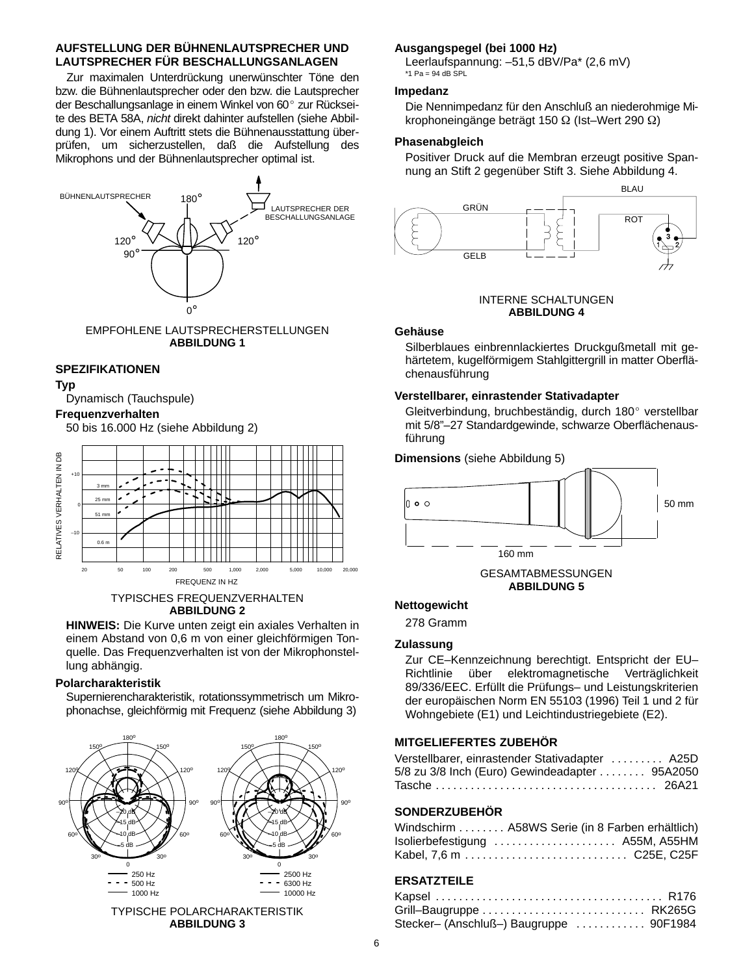#### **AUFSTELLUNG DER BÜHNENLAUTSPRECHER UND LAUTSPRECHER FÜR BESCHALLUNGSANLAGEN**

Zur maximalen Unterdrückung unerwünschter Töne den bzw. die Bühnenlautsprecher oder den bzw. die Lautsprecher der Beschallungsanlage in einem Winkel von 60° zur Rückseite des BETA 58A, nicht direkt dahinter aufstellen (siehe Abbildung 1). Vor einem Auftritt stets die Bühnenausstattung überprüfen, um sicherzustellen, daß die Aufstellung des Mikrophons und der Bühnenlautsprecher optimal ist.



#### EMPFOHLENE LAUTSPRECHERSTELLUNGEN **ABBILDUNG 1**

#### **SPEZIFIKATIONEN**

#### **Typ**

Dynamisch (Tauchspule)

#### **Frequenzverhalten**

50 bis 16.000 Hz (siehe Abbildung 2)



#### TYPISCHES FREQUENZVERHALTEN **ABBILDUNG 2**

**HINWEIS:** Die Kurve unten zeigt ein axiales Verhalten in einem Abstand von 0,6 m von einer gleichförmigen Tonquelle. Das Frequenzverhalten ist von der Mikrophonstellung abhängig.

#### **Polarcharakteristik**

Supernierencharakteristik, rotationssymmetrisch um Mikrophonachse, gleichförmig mit Frequenz (siehe Abbildung 3)



#### TYPISCHE POLARCHARAKTERISTIK **ABBILDUNG 3**

#### **Ausgangspegel (bei 1000 Hz)**

Leerlaufspannung: –51,5 dBV/Pa\* (2,6 mV)  $*1$  Pa = 94 dB SPL

#### **Impedanz**

Die Nennimpedanz für den Anschluß an niederohmige Mikrophoneingänge beträgt 150  $\Omega$  (Ist–Wert 290  $\Omega$ )

#### **Phasenabgleich**

Positiver Druck auf die Membran erzeugt positive Spannung an Stift 2 gegenüber Stift 3. Siehe Abbildung 4.



#### INTERNE SCHALTUNGEN **ABBILDUNG 4**

#### **Gehäuse**

Silberblaues einbrennlackiertes Druckgußmetall mit gehärtetem, kugelförmigem Stahlgittergrill in matter Oberflächenausführung

#### **Verstellbarer, einrastender Stativadapter**

Gleitverbindung, bruchbeständig, durch 180° verstellbar mit 5/8"–27 Standardgewinde, schwarze Oberflächenausführung



**ABBILDUNG 5**

#### **Nettogewicht**

278 Gramm

#### **Zulassung**

Zur CE–Kennzeichnung berechtigt. Entspricht der EU– Richtlinie über elektromagnetische Verträglichkeit 89/336/EEC. Erfüllt die Prüfungs– und Leistungskriterien der europäischen Norm EN 55103 (1996) Teil 1 und 2 für Wohngebiete (E1) und Leichtindustriegebiete (E2).

#### **MITGELIEFERTES ZUBEHÖR**

| Verstellbarer, einrastender Stativadapter  A25D |  |
|-------------------------------------------------|--|
| 5/8 zu 3/8 Inch (Euro) Gewindeadapter  95A2050  |  |
|                                                 |  |

#### **SONDERZUBEHÖR**

| Windschirm  A58WS Serie (in 8 Farben erhältlich) |  |
|--------------------------------------------------|--|
| Isolierbefestigung  A55M, A55HM                  |  |
|                                                  |  |

#### **ERSATZTEILE**

| Grill-Baugruppe  RK265G                 |  |
|-----------------------------------------|--|
| Stecker- (Anschluß-) Baugruppe  90F1984 |  |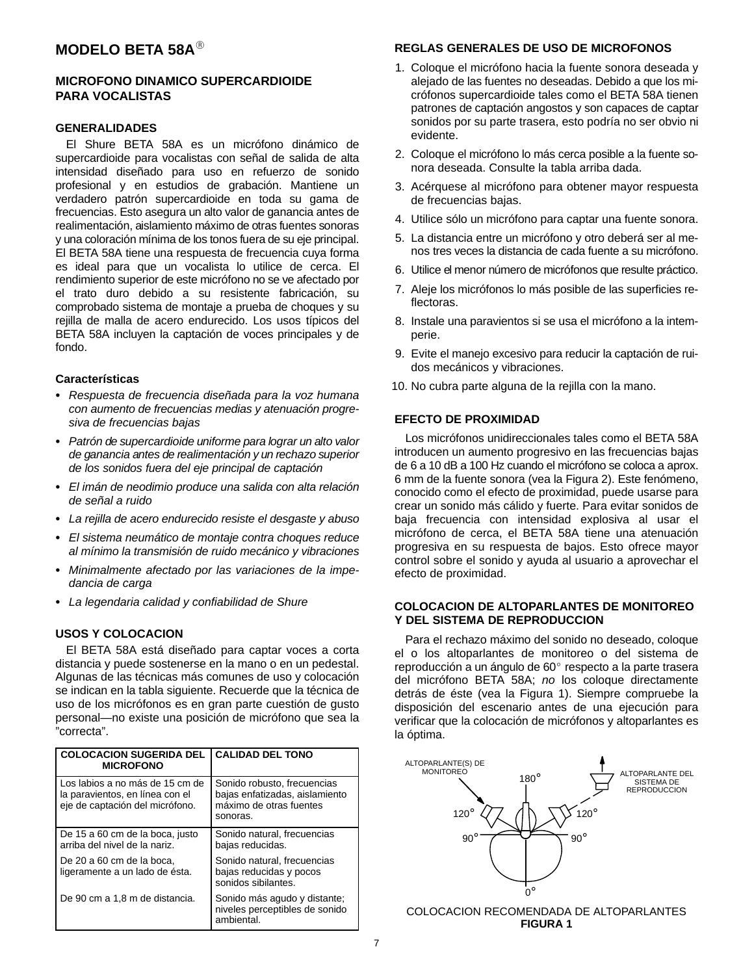## **MODELO BETA 58A**

#### **MICROFONO DINAMICO SUPERCARDIOIDE PARA VOCALISTAS**

#### **GENERALIDADES**

El Shure BETA 58A es un micrófono dinámico de supercardioide para vocalistas con señal de salida de alta intensidad diseñado para uso en refuerzo de sonido profesional y en estudios de grabación. Mantiene un verdadero patrón supercardioide en toda su gama de frecuencias. Esto asegura un alto valor de ganancia antes de realimentación, aislamiento máximo de otras fuentes sonoras y una coloración mínima de los tonos fuera de su eje principal. El BETA 58A tiene una respuesta de frecuencia cuya forma es ideal para que un vocalista lo utilice de cerca. El rendimiento superior de este micrófono no se ve afectado por el trato duro debido a su resistente fabricación, su comprobado sistema de montaje a prueba de choques y su rejilla de malla de acero endurecido. Los usos típicos del BETA 58A incluyen la captación de voces principales y de fondo.

#### **Características**

- Respuesta de frecuencia diseñada para la voz humana con aumento de frecuencias medias y atenuación progresiva de frecuencias bajas
- Patrón de supercardioide uniforme para lograr un alto valor de ganancia antes de realimentación y un rechazo superior de los sonidos fuera del eje principal de captación
- El imán de neodimio produce una salida con alta relación de señal a ruido
- -La rejilla de acero endurecido resiste el desgaste y abuso
- El sistema neumático de montaje contra choques reduce al mínimo la transmisión de ruido mecánico y vibraciones
- $\bullet$  Minimalmente afectado por las variaciones de la impedancia de carga
- La legendaria calidad y confiabilidad de Shure

#### **USOS Y COLOCACION**

El BETA 58A está diseñado para captar voces a corta distancia y puede sostenerse en la mano o en un pedestal. Algunas de las técnicas más comunes de uso y colocación se indican en la tabla siguiente. Recuerde que la técnica de uso de los micrófonos es en gran parte cuestión de gusto personal—no existe una posición de micrófono que sea la "correcta".

| <b>COLOCACION SUGERIDA DEL</b><br><b>MICROFONO</b>                                                    | <b>CALIDAD DEL TONO</b>                                                                              |
|-------------------------------------------------------------------------------------------------------|------------------------------------------------------------------------------------------------------|
| Los labios a no más de 15 cm de<br>la paravientos, en línea con el<br>eje de captación del micrófono. | Sonido robusto, frecuencias<br>bajas enfatizadas, aislamiento<br>máximo de otras fuentes<br>sonoras. |
| De 15 a 60 cm de la boca, justo<br>arriba del nivel de la nariz.                                      | Sonido natural, frecuencias<br>bajas reducidas.                                                      |
| De 20 a 60 cm de la boca.<br>ligeramente a un lado de ésta.                                           | Sonido natural, frecuencias<br>bajas reducidas y pocos<br>sonidos sibilantes.                        |
| De 90 cm a 1,8 m de distancia.                                                                        | Sonido más agudo y distante;<br>niveles perceptibles de sonido<br>ambiental.                         |

### **REGLAS GENERALES DE USO DE MICROFONOS**

- 1. Coloque el micrófono hacia la fuente sonora deseada y alejado de las fuentes no deseadas. Debido a que los micrófonos supercardioide tales como el BETA 58A tienen patrones de captación angostos y son capaces de captar sonidos por su parte trasera, esto podría no ser obvio ni evidente.
- 2. Coloque el micrófono lo más cerca posible a la fuente sonora deseada. Consulte la tabla arriba dada.
- 3. Acérquese al micrófono para obtener mayor respuesta de frecuencias bajas.
- 4. Utilice sólo un micrófono para captar una fuente sonora.
- 5. La distancia entre un micrófono y otro deberá ser al menos tres veces la distancia de cada fuente a su micrófono.
- 6. Utilice el menor número de micrófonos que resulte práctico.
- 7. Aleje los micrófonos lo más posible de las superficies reflectoras.
- 8. Instale una paravientos si se usa el micrófono a la intemperie.
- 9. Evite el manejo excesivo para reducir la captación de ruidos mecánicos y vibraciones.
- 10. No cubra parte alguna de la rejilla con la mano.

## **EFECTO DE PROXIMIDAD**

Los micrófonos unidireccionales tales como el BETA 58A introducen un aumento progresivo en las frecuencias bajas de 6 a 10 dB a 100 Hz cuando el micrófono se coloca a aprox. 6 mm de la fuente sonora (vea la Figura 2). Este fenómeno, conocido como el efecto de proximidad, puede usarse para crear un sonido más cálido y fuerte. Para evitar sonidos de baja frecuencia con intensidad explosiva al usar el micrófono de cerca, el BETA 58A tiene una atenuación progresiva en su respuesta de bajos. Esto ofrece mayor control sobre el sonido y ayuda al usuario a aprovechar el efecto de proximidad.

#### **COLOCACION DE ALTOPARLANTES DE MONITOREO Y DEL SISTEMA DE REPRODUCCION**

Para el rechazo máximo del sonido no deseado, coloque el o los altoparlantes de monitoreo o del sistema de reproducción a un ángulo de 60° respecto a la parte trasera del micrófono BETA 58A; no los coloque directamente detrás de éste (vea la Figura 1). Siempre compruebe la disposición del escenario antes de una ejecución para verificar que la colocación de micrófonos y altoparlantes es la óptima.



COLOCACION RECOMENDADA DE ALTOPARLANTES **FIGURA 1**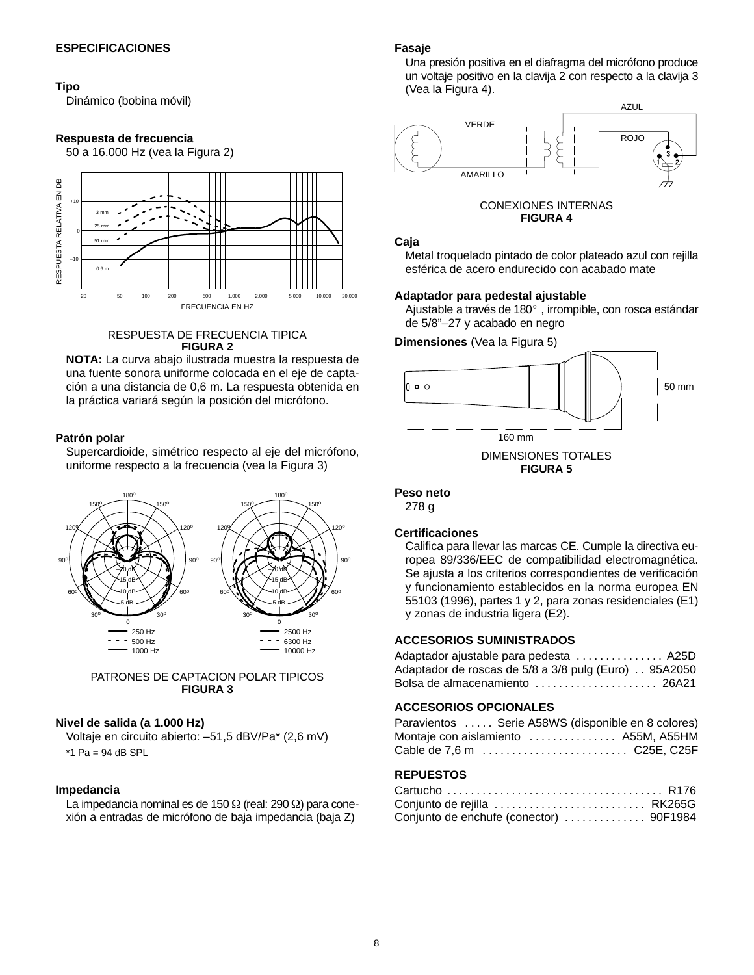#### **Tipo**

Dinámico (bobina móvil)

#### **Respuesta de frecuencia**

50 a 16.000 Hz (vea la Figura 2)



#### RESPUESTA DE FRECUENCIA TIPICA **FIGURA 2**

**NOTA:** La curva abajo ilustrada muestra la respuesta de una fuente sonora uniforme colocada en el eje de captación a una distancia de 0,6 m. La respuesta obtenida en la práctica variará según la posición del micrófono.

#### **Patrón polar**

Supercardioide, simétrico respecto al eje del micrófono, uniforme respecto a la frecuencia (vea la Figura 3)



#### PATRONES DE CAPTACION POLAR TIPICOS **FIGURA 3**

#### **Nivel de salida (a 1.000 Hz)**

Voltaje en circuito abierto: –51,5 dBV/Pa\* (2,6 mV)  $*1$  Pa = 94 dB SPL

#### **Impedancia**

La impedancia nominal es de 150  $\Omega$  (real: 290  $\Omega$ ) para conexión a entradas de micrófono de baja impedancia (baja Z)

#### **Fasaje**

Una presión positiva en el diafragma del micrófono produce un voltaje positivo en la clavija 2 con respecto a la clavija 3 (Vea la Figura 4).



## **Caja**

Metal troquelado pintado de color plateado azul con rejilla

#### **Adaptador para pedestal ajustable**

Ajustable a través de 180°, irrompible, con rosca estándar de 5/8"–27 y acabado en negro

**Dimensiones** (Vea la Figura 5)



#### **Peso neto**

278 g

#### **Certificaciones**

Califica para llevar las marcas CE. Cumple la directiva europea 89/336/EEC de compatibilidad electromagnética. Se ajusta a los criterios correspondientes de verificación y funcionamiento establecidos en la norma europea EN 55103 (1996), partes 1 y 2, para zonas residenciales (E1) y zonas de industria ligera (E2).

#### **ACCESORIOS SUMINISTRADOS**

| Adaptador ajustable para pedesta  A25D               |  |
|------------------------------------------------------|--|
| Adaptador de roscas de 5/8 a 3/8 pulg (Euro) 95A2050 |  |
| Bolsa de almacenamiento  26A21                       |  |

#### **ACCESORIOS OPCIONALES**

| Paravientos  Serie A58WS (disponible en 8 colores) |  |  |  |
|----------------------------------------------------|--|--|--|
| Montaje con aislamiento  A55M, A55HM               |  |  |  |
| Cable de 7,6 m  C25E, C25F                         |  |  |  |

#### **REPUESTOS**

| Conjunto de rejilla  RK265G             |  |
|-----------------------------------------|--|
| Conjunto de enchufe (conector)  90F1984 |  |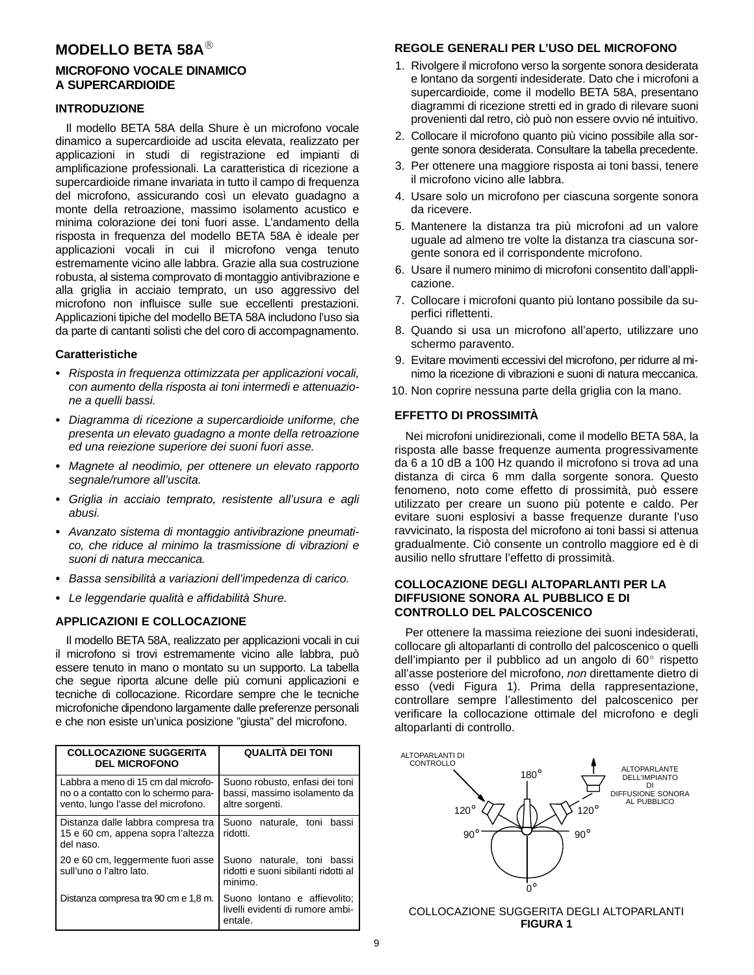## **MODELLO BETA 58A**

#### **MICROFONO VOCALE DINAMICO A SUPERCARDIOIDE**

#### **INTRODUZIONE**

Il modello BETA 58A della Shure è un microfono vocale dinamico a supercardioide ad uscita elevata, realizzato per applicazioni in studi di registrazione ed impianti di amplificazione professionali. La caratteristica di ricezione a supercardioide rimane invariata in tutto il campo di frequenza del microfono, assicurando così un elevato guadagno a monte della retroazione, massimo isolamento acustico e minima colorazione dei toni fuori asse. L'andamento della risposta in frequenza del modello BETA 58A è ideale per applicazioni vocali in cui il microfono venga tenuto estremamente vicino alle labbra. Grazie alla sua costruzione robusta, al sistema comprovato di montaggio antivibrazione e alla griglia in acciaio temprato, un uso aggressivo del microfono non influisce sulle sue eccellenti prestazioni. Applicazioni tipiche del modello BETA 58A includono l'uso sia da parte di cantanti solisti che del coro di accompagnamento.

#### **Caratteristiche**

- Risposta in frequenza ottimizzata per applicazioni vocali, con aumento della risposta ai toni intermedi e attenuazione a quelli bassi.
- Diagramma di ricezione a supercardioide uniforme, che presenta un elevato guadagno a monte della retroazione ed una reiezione superiore dei suoni fuori asse.
- Magnete al neodimio, per ottenere un elevato rapporto segnale/rumore all'uscita.
- Griglia in acciaio temprato, resistente all'usura e agli abusi.
- Avanzato sistema di montaggio antivibrazione pneumatico, che riduce al minimo la trasmissione di vibrazioni e suoni di natura meccanica.
- Bassa sensibilità a variazioni dell'impedenza di carico.
- Le leggendarie qualità e affidabilità Shure.

#### **APPLICAZIONI E COLLOCAZIONE**

Il modello BETA 58A, realizzato per applicazioni vocali in cui il microfono si trovi estremamente vicino alle labbra, può essere tenuto in mano o montato su un supporto. La tabella che segue riporta alcune delle più comuni applicazioni e tecniche di collocazione. Ricordare sempre che le tecniche microfoniche dipendono largamente dalle preferenze personali e che non esiste un'unica posizione "giusta" del microfono.

| <b>COLLOCAZIONE SUGGERITA</b><br><b>DEL MICROFONO</b>                                                             | QUALITÀ DEI TONI                                                                  |  |
|-------------------------------------------------------------------------------------------------------------------|-----------------------------------------------------------------------------------|--|
| Labbra a meno di 15 cm dal microfo-<br>no o a contatto con lo schermo para-<br>vento, lungo l'asse del microfono. | Suono robusto, enfasi dei toni<br>bassi, massimo isolamento da<br>altre sorgenti. |  |
| Distanza dalle labbra compresa tra<br>15 e 60 cm, appena sopra l'altezza<br>del naso.                             | Suono naturale, toni bassi<br>ridotti.                                            |  |
| 20 e 60 cm, leggermente fuori asse<br>sull'uno o l'altro lato.                                                    | Suono naturale, toni bassi<br>ridotti e suoni sibilanti ridotti al<br>minimo.     |  |
| Distanza compresa tra 90 cm e 1,8 m.                                                                              | Suono lontano e affievolito;<br>livelli evidenti di rumore ambi-<br>entale.       |  |

### **REGOLE GENERALI PER L'USO DEL MICROFONO**

- 1. Rivolgere il microfono verso la sorgente sonora desiderata e lontano da sorgenti indesiderate. Dato che i microfoni a supercardioide, come il modello BETA 58A, presentano diagrammi di ricezione stretti ed in grado di rilevare suoni provenienti dal retro, ciò può non essere ovvio né intuitivo.
- 2. Collocare il microfono quanto più vicino possibile alla sorgente sonora desiderata. Consultare la tabella precedente.
- 3. Per ottenere una maggiore risposta ai toni bassi, tenere il microfono vicino alle labbra.
- 4. Usare solo un microfono per ciascuna sorgente sonora da ricevere.
- 5. Mantenere la distanza tra più microfoni ad un valore uguale ad almeno tre volte la distanza tra ciascuna sorgente sonora ed il corrispondente microfono.
- 6. Usare il numero minimo di microfoni consentito dall'applicazione.
- 7. Collocare i microfoni quanto più lontano possibile da superfici riflettenti.
- 8. Quando si usa un microfono all'aperto, utilizzare uno schermo paravento.
- 9. Evitare movimenti eccessivi del microfono, per ridurre al minimo la ricezione di vibrazioni e suoni di natura meccanica.
- 10. Non coprire nessuna parte della griglia con la mano.

## **EFFETTO DI PROSSIMITÀ**

Nei microfoni unidirezionali, come il modello BETA 58A, la risposta alle basse frequenze aumenta progressivamente da 6 a 10 dB a 100 Hz quando il microfono si trova ad una distanza di circa 6 mm dalla sorgente sonora. Questo fenomeno, noto come effetto di prossimità, può essere utilizzato per creare un suono più potente e caldo. Per evitare suoni esplosivi a basse frequenze durante l'uso ravvicinato, la risposta del microfono ai toni bassi si attenua gradualmente. Ciò consente un controllo maggiore ed è di ausilio nello sfruttare l'effetto di prossimità.

#### **COLLOCAZIONE DEGLI ALTOPARLANTI PER LA DIFFUSIONE SONORA AL PUBBLICO E DI CONTROLLO DEL PALCOSCENICO**

Per ottenere la massima reiezione dei suoni indesiderati, collocare gli altoparlanti di controllo del palcoscenico o quelli dell'impianto per il pubblico ad un angolo di 60 $^{\circ}$  rispetto all'asse posteriore del microfono, non direttamente dietro di esso (vedi Figura 1). Prima della rappresentazione, controllare sempre l'allestimento del palcoscenico per verificare la collocazione ottimale del microfono e degli altoparlanti di controllo.



COLLOCAZIONE SUGGERITA DEGLI ALTOPARLANTI **FIGURA 1**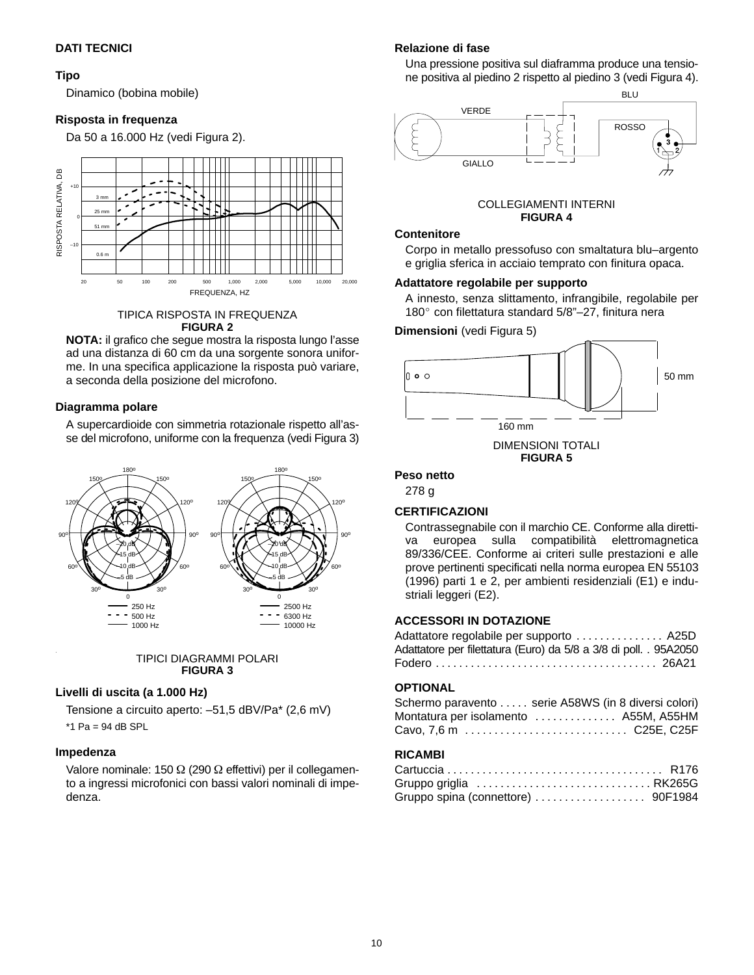#### **DATI TECNICI**

#### **Tipo**

Dinamico (bobina mobile)

#### **Risposta in frequenza**

Da 50 a 16.000 Hz (vedi Figura 2).



TIPICA RISPOSTA IN FREQUENZA **FIGURA 2**

**NOTA:** il grafico che segue mostra la risposta lungo l'asse ad una distanza di 60 cm da una sorgente sonora uniforme. In una specifica applicazione la risposta può variare, a seconda della posizione del microfono.

#### **Diagramma polare**

A supercardioide con simmetria rotazionale rispetto all'asse del microfono, uniforme con la frequenza (vedi Figura 3)



#### TIPICI DIAGRAMMI POLARI **FIGURA 3**

#### **Livelli di uscita (a 1.000 Hz)**

Tensione a circuito aperto: –51,5 dBV/Pa\* (2,6 mV)

 $*$ 1 Pa = 94 dB SPL

#### **Impedenza**

Valore nominale: 150  $\Omega$  (290  $\Omega$  effettivi) per il collegamento a ingressi microfonici con bassi valori nominali di impedenza.

#### **Relazione di fase**

Una pressione positiva sul diaframma produce una tensione positiva al piedino 2 rispetto al piedino 3 (vedi Figura 4).



# **FIGURA 4**

#### **Contenitore**

COLLEGIAMENTI INTERNI<br>COLLEGIAMENTI INTERNI<br>Contenitore<br>Corpo in metallo pressofuso con smaltatura blu–arg<br>corrigio sforico in accipio temprate con finitura opac **TACORDO INTERFEDENT CORPORTION CORPORTION CORPORTION CORPORTION CORPORTION CORPORTION CORPORTION CORPORTION CORPORTION CORPORTION CORPORTION CORPORTION CORPORTION CORPORTION CORPORTION CORPORTION CONTINUES.** e griglia sferica in acciaio temprato con finitura opaca.

A innesto, senza slittamento, infrangibile, regolabile per 180° con filettatura standard 5/8"-27, finitura nera

**Dimensioni** (vedi Figura 5)



### **Peso netto**

278 g

#### **CERTIFICAZIONI**

Contrassegnabile con il marchio CE. Conforme alla direttiva europea sulla compatibilità elettromagnetica 89/336/CEE. Conforme ai criteri sulle prestazioni e alle prove pertinenti specificati nella norma europea EN 55103 (1996) parti 1 e 2, per ambienti residenziali (E1) e industriali leggeri (E2).

#### **ACCESSORI IN DOTAZIONE**

| Adattatore regolabile per supporto  A25D                          |  |
|-------------------------------------------------------------------|--|
| Adattatore per filettatura (Euro) da 5/8 a 3/8 di poll. . 95A2050 |  |
|                                                                   |  |

### **OPTIONAL**

| Schermo paravento serie A58WS (in 8 diversi colori) |  |
|-----------------------------------------------------|--|
| Montatura per isolamento  A55M, A55HM               |  |
| Cavo, 7,6 m  C25E, C25F                             |  |

### **RICAMBI**

| Gruppo griglia  RK265G |  |
|------------------------|--|
|                        |  |